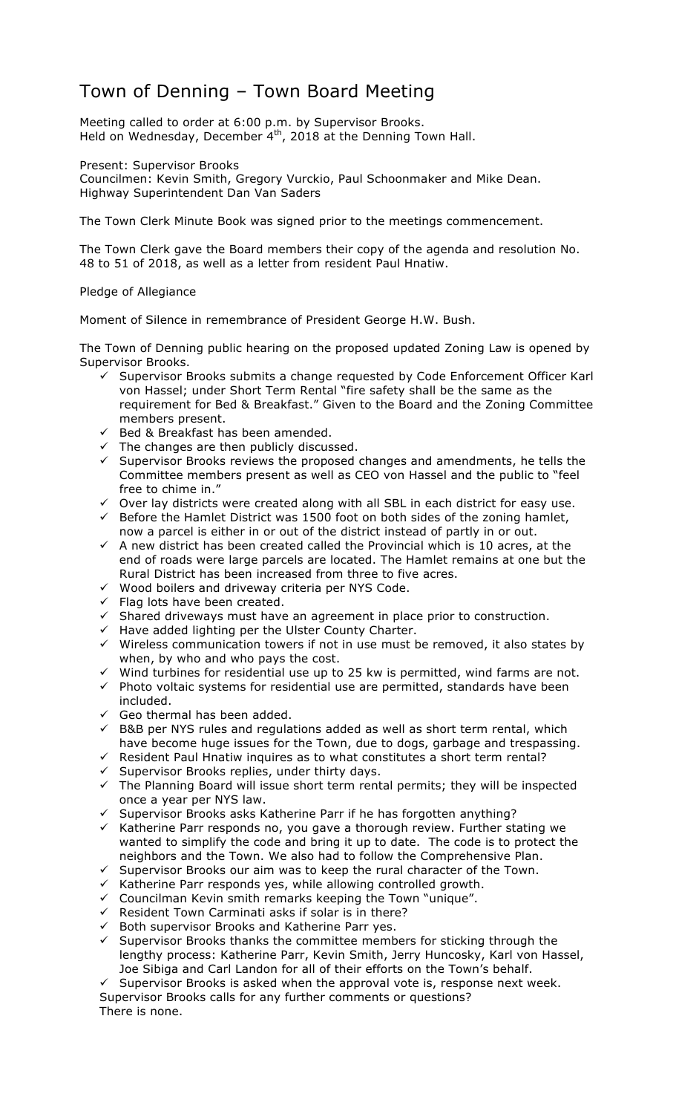## Town of Denning – Town Board Meeting

Meeting called to order at 6:00 p.m. by Supervisor Brooks. Held on Wednesday, December 4<sup>th</sup>, 2018 at the Denning Town Hall.

Present: Supervisor Brooks

Councilmen: Kevin Smith, Gregory Vurckio, Paul Schoonmaker and Mike Dean. Highway Superintendent Dan Van Saders

The Town Clerk Minute Book was signed prior to the meetings commencement.

The Town Clerk gave the Board members their copy of the agenda and resolution No. 48 to 51 of 2018, as well as a letter from resident Paul Hnatiw.

## Pledge of Allegiance

Moment of Silence in remembrance of President George H.W. Bush.

The Town of Denning public hearing on the proposed updated Zoning Law is opened by Supervisor Brooks.

- $\checkmark$  Supervisor Brooks submits a change requested by Code Enforcement Officer Karl von Hassel; under Short Term Rental "fire safety shall be the same as the requirement for Bed & Breakfast." Given to the Board and the Zoning Committee members present.
- $\checkmark$  Bed & Breakfast has been amended.
- $\checkmark$  The changes are then publicly discussed.
- $\checkmark$  Supervisor Brooks reviews the proposed changes and amendments, he tells the Committee members present as well as CEO von Hassel and the public to "feel free to chime in."
- $\checkmark$  Over lay districts were created along with all SBL in each district for easy use.
- E FORE THE HAMLET District was  $1500$  foot on both sides of the zoning hamlet, now a parcel is either in or out of the district instead of partly in or out.
- $\checkmark$  A new district has been created called the Provincial which is 10 acres, at the end of roads were large parcels are located. The Hamlet remains at one but the Rural District has been increased from three to five acres.
- $\checkmark$  Wood boilers and driveway criteria per NYS Code.
- $\checkmark$  Flag lots have been created.<br> $\checkmark$  Shared driveways must have
- $\checkmark$  Shared driveways must have an agreement in place prior to construction.
- $\checkmark$  Have added lighting per the Ulster County Charter.
- $\checkmark$  Wireless communication towers if not in use must be removed, it also states by when, by who and who pays the cost.
- $\checkmark$  Wind turbines for residential use up to 25 kw is permitted, wind farms are not.
- $\checkmark$  Photo voltaic systems for residential use are permitted, standards have been included.
- $\checkmark$  Geo thermal has been added.
- $\checkmark$  B&B per NYS rules and regulations added as well as short term rental, which have become huge issues for the Town, due to dogs, garbage and trespassing.
- $\checkmark$  Resident Paul Hnatiw inquires as to what constitutes a short term rental?
- $\checkmark$  Supervisor Brooks replies, under thirty days.
- $\checkmark$  The Planning Board will issue short term rental permits; they will be inspected once a year per NYS law.
- $\checkmark$  Supervisor Brooks asks Katherine Parr if he has forgotten anything?
- $\checkmark$  Katherine Parr responds no, you gave a thorough review. Further stating we wanted to simplify the code and bring it up to date. The code is to protect the neighbors and the Town. We also had to follow the Comprehensive Plan.
- $\checkmark$  Supervisor Brooks our aim was to keep the rural character of the Town.
- $\checkmark$  Katherine Parr responds yes, while allowing controlled growth.
- $\checkmark$  Councilman Kevin smith remarks keeping the Town "unique".
- $\checkmark$  Resident Town Carminati asks if solar is in there?
- $\checkmark$  Both supervisor Brooks and Katherine Parr yes.
- $\checkmark$  Supervisor Brooks thanks the committee members for sticking through the lengthy process: Katherine Parr, Kevin Smith, Jerry Huncosky, Karl von Hassel, Joe Sibiga and Carl Landon for all of their efforts on the Town's behalf.

 $\checkmark$  Supervisor Brooks is asked when the approval vote is, response next week. Supervisor Brooks calls for any further comments or questions? There is none.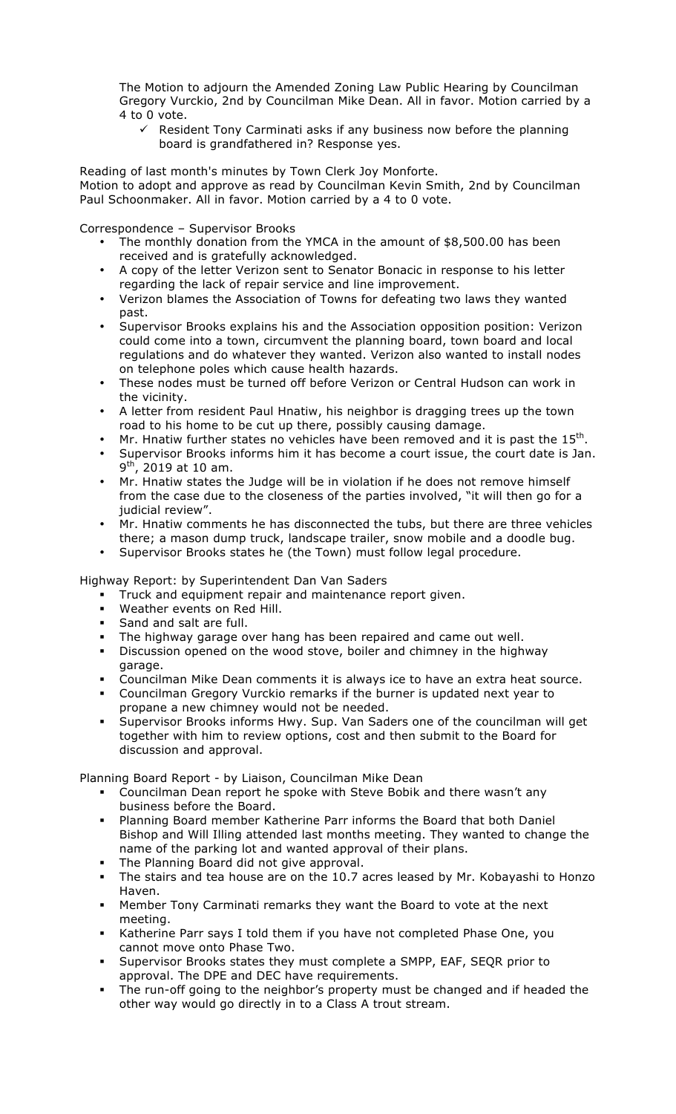The Motion to adjourn the Amended Zoning Law Public Hearing by Councilman Gregory Vurckio, 2nd by Councilman Mike Dean. All in favor. Motion carried by a 4 to 0 vote.

 $\checkmark$  Resident Tony Carminati asks if any business now before the planning board is grandfathered in? Response yes.

Reading of last month's minutes by Town Clerk Joy Monforte. Motion to adopt and approve as read by Councilman Kevin Smith, 2nd by Councilman Paul Schoonmaker. All in favor. Motion carried by a 4 to 0 vote.

Correspondence – Supervisor Brooks

- The monthly donation from the YMCA in the amount of \$8,500.00 has been received and is gratefully acknowledged.
- A copy of the letter Verizon sent to Senator Bonacic in response to his letter regarding the lack of repair service and line improvement.
- Verizon blames the Association of Towns for defeating two laws they wanted past.
- Supervisor Brooks explains his and the Association opposition position: Verizon could come into a town, circumvent the planning board, town board and local regulations and do whatever they wanted. Verizon also wanted to install nodes on telephone poles which cause health hazards.
- These nodes must be turned off before Verizon or Central Hudson can work in the vicinity.
- A letter from resident Paul Hnatiw, his neighbor is dragging trees up the town road to his home to be cut up there, possibly causing damage.
- Mr. Hnatiw further states no vehicles have been removed and it is past the  $15<sup>th</sup>$ .
- Supervisor Brooks informs him it has become a court issue, the court date is Jan.  $9<sup>th</sup>$ , 2019 at 10 am.
- Mr. Hnatiw states the Judge will be in violation if he does not remove himself from the case due to the closeness of the parties involved, "it will then go for a judicial review".
- Mr. Hnatiw comments he has disconnected the tubs, but there are three vehicles there; a mason dump truck, landscape trailer, snow mobile and a doodle bug.
- Supervisor Brooks states he (the Town) must follow legal procedure.

Highway Report: by Superintendent Dan Van Saders

- **Truck and equipment repair and maintenance report given.**<br>• Weather events on Red Hill.
- Weather events on Red Hill.
- " Sand and salt are full.
- The highway garage over hang has been repaired and came out well.
- " Discussion opened on the wood stove, boiler and chimney in the highway garage.
- " Councilman Mike Dean comments it is always ice to have an extra heat source.
- " Councilman Gregory Vurckio remarks if the burner is updated next year to propane a new chimney would not be needed.
- Supervisor Brooks informs Hwy. Sup. Van Saders one of the councilman will get together with him to review options, cost and then submit to the Board for discussion and approval.

Planning Board Report - by Liaison, Councilman Mike Dean

- " Councilman Dean report he spoke with Steve Bobik and there wasn't any business before the Board.
- " Planning Board member Katherine Parr informs the Board that both Daniel Bishop and Will Illing attended last months meeting. They wanted to change the name of the parking lot and wanted approval of their plans. The Planning Board did not give approval.<br>The stairs and too house in the stairs and the stairs and the stairs of the stairs and the stairs of the stair
- 
- The stairs and tea house are on the 10.7 acres leased by Mr. Kobayashi to Honzo Haven.
- " Member Tony Carminati remarks they want the Board to vote at the next meeting.
- " Katherine Parr says I told them if you have not completed Phase One, you cannot move onto Phase Two.
- Supervisor Brooks states they must complete a SMPP, EAF, SEQR prior to approval. The DPE and DEC have requirements.
- The run-off going to the neighbor's property must be changed and if headed the other way would go directly in to a Class A trout stream.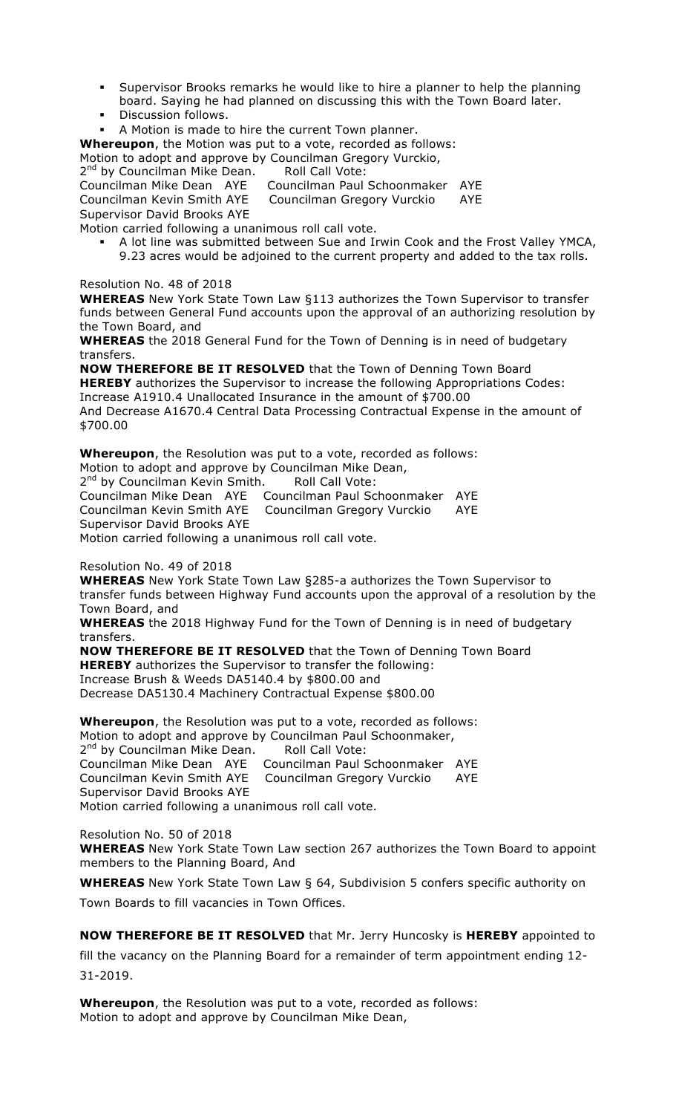- Supervisor Brooks remarks he would like to hire a planner to help the planning board. Saying he had planned on discussing this with the Town Board later.
- **•** Discussion follows.
- " A Motion is made to hire the current Town planner.

**Whereupon**, the Motion was put to a vote, recorded as follows:

Motion to adopt and approve by Councilman Gregory Vurckio,

2<sup>nd</sup> by Councilman Mike Dean. Roll Call Vote:

Councilman Mike Dean AYE Councilman Paul Schoonmaker AYE

Councilman Kevin Smith AYE Councilman Gregory Vurckio AYE

Supervisor David Brooks AYE

Motion carried following a unanimous roll call vote.

" A lot line was submitted between Sue and Irwin Cook and the Frost Valley YMCA, 9.23 acres would be adjoined to the current property and added to the tax rolls.

Resolution No. 48 of 2018

**WHEREAS** New York State Town Law §113 authorizes the Town Supervisor to transfer funds between General Fund accounts upon the approval of an authorizing resolution by the Town Board, and

**WHEREAS** the 2018 General Fund for the Town of Denning is in need of budgetary transfers.

**NOW THEREFORE BE IT RESOLVED** that the Town of Denning Town Board **HEREBY** authorizes the Supervisor to increase the following Appropriations Codes: Increase A1910.4 Unallocated Insurance in the amount of \$700.00 And Decrease A1670.4 Central Data Processing Contractual Expense in the amount of \$700.00

**Whereupon**, the Resolution was put to a vote, recorded as follows:

Motion to adopt and approve by Councilman Mike Dean,

2<sup>nd</sup> by Councilman Kevin Smith. Roll Call Vote:

Councilman Mike Dean AYE Councilman Paul Schoonmaker AYE Councilman Kevin Smith AYE Councilman Gregory Vurckio AYE Supervisor David Brooks AYE

Motion carried following a unanimous roll call vote.

Resolution No. 49 of 2018

**WHEREAS** New York State Town Law §285-a authorizes the Town Supervisor to transfer funds between Highway Fund accounts upon the approval of a resolution by the Town Board, and

**WHEREAS** the 2018 Highway Fund for the Town of Denning is in need of budgetary transfers.

**NOW THEREFORE BE IT RESOLVED** that the Town of Denning Town Board

**HEREBY** authorizes the Supervisor to transfer the following:

Increase Brush & Weeds DA5140.4 by \$800.00 and

Decrease DA5130.4 Machinery Contractual Expense \$800.00

**Whereupon**, the Resolution was put to a vote, recorded as follows: Motion to adopt and approve by Councilman Paul Schoonmaker, 2<sup>nd</sup> by Councilman Mike Dean. Roll Call Vote:

Councilman Mike Dean AYE Councilman Paul Schoonmaker AYE Councilman Gregory Vurckio AYE Supervisor David Brooks AYE Motion carried following a unanimous roll call vote.

Resolution No. 50 of 2018

**WHEREAS** New York State Town Law section 267 authorizes the Town Board to appoint members to the Planning Board, And

**WHEREAS** New York State Town Law § 64, Subdivision 5 confers specific authority on Town Boards to fill vacancies in Town Offices.

**NOW THEREFORE BE IT RESOLVED** that Mr. Jerry Huncosky is **HEREBY** appointed to

fill the vacancy on the Planning Board for a remainder of term appointment ending 12- 31-2019.

**Whereupon**, the Resolution was put to a vote, recorded as follows: Motion to adopt and approve by Councilman Mike Dean,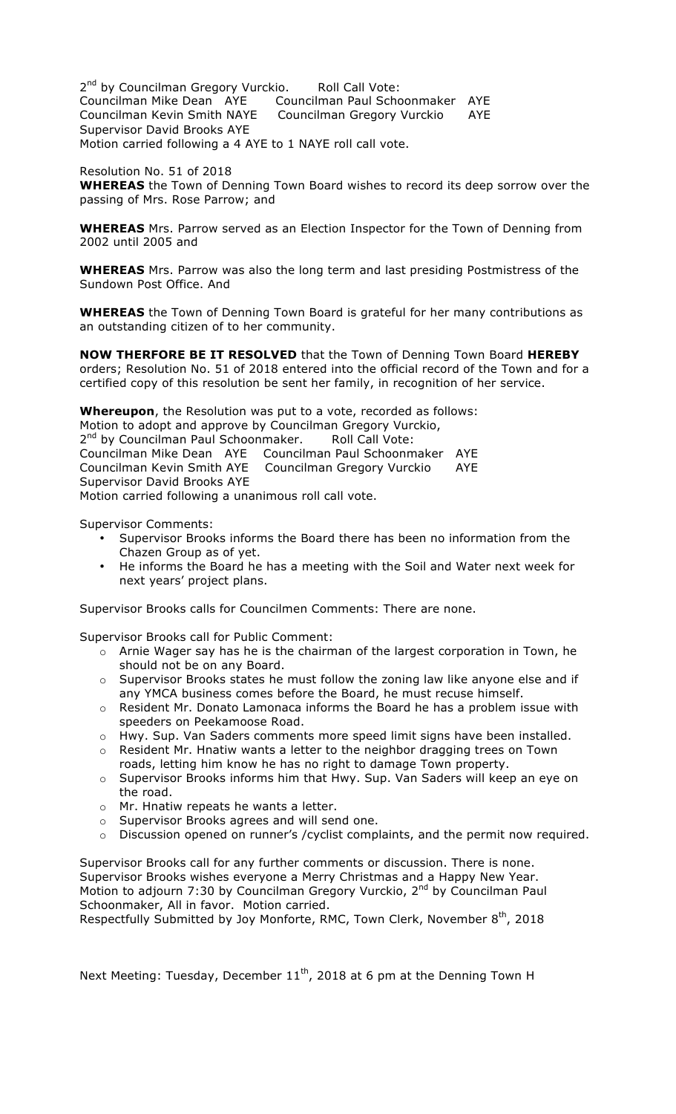2<sup>nd</sup> by Councilman Gregory Vurckio. Roll Call Vote: Councilman Mike Dean AYE Councilman Paul Schoonmaker AYE Councilman Kevin Smith NAYE Councilman Gregory Vurckio AYE Supervisor David Brooks AYE Motion carried following a 4 AYE to 1 NAYE roll call vote.

Resolution No. 51 of 2018 **WHEREAS** the Town of Denning Town Board wishes to record its deep sorrow over the passing of Mrs. Rose Parrow; and

**WHEREAS** Mrs. Parrow served as an Election Inspector for the Town of Denning from 2002 until 2005 and

**WHEREAS** Mrs. Parrow was also the long term and last presiding Postmistress of the Sundown Post Office. And

**WHEREAS** the Town of Denning Town Board is grateful for her many contributions as an outstanding citizen of to her community.

**NOW THERFORE BE IT RESOLVED** that the Town of Denning Town Board **HEREBY**  orders; Resolution No. 51 of 2018 entered into the official record of the Town and for a certified copy of this resolution be sent her family, in recognition of her service.

**Whereupon**, the Resolution was put to a vote, recorded as follows: Motion to adopt and approve by Councilman Gregory Vurckio, 2<sup>nd</sup> by Councilman Paul Schoonmaker. Roll Call Vote: Councilman Mike Dean AYE Councilman Paul Schoonmaker AYE Councilman Kevin Smith AYE Councilman Gregory Vurckio AYE Supervisor David Brooks AYE Motion carried following a unanimous roll call vote.

Supervisor Comments:

- Supervisor Brooks informs the Board there has been no information from the Chazen Group as of yet.
- He informs the Board he has a meeting with the Soil and Water next week for next years' project plans.

Supervisor Brooks calls for Councilmen Comments: There are none.

Supervisor Brooks call for Public Comment:

- o Arnie Wager say has he is the chairman of the largest corporation in Town, he should not be on any Board.
- $\circ$  Supervisor Brooks states he must follow the zoning law like anyone else and if any YMCA business comes before the Board, he must recuse himself.
- o Resident Mr. Donato Lamonaca informs the Board he has a problem issue with speeders on Peekamoose Road.
- o Hwy. Sup. Van Saders comments more speed limit signs have been installed.
- o Resident Mr. Hnatiw wants a letter to the neighbor dragging trees on Town roads, letting him know he has no right to damage Town property.
- o Supervisor Brooks informs him that Hwy. Sup. Van Saders will keep an eye on the road.
- o Mr. Hnatiw repeats he wants a letter.
- o Supervisor Brooks agrees and will send one.
- $\circ$  Discussion opened on runner's / cyclist complaints, and the permit now required.

Supervisor Brooks call for any further comments or discussion. There is none. Supervisor Brooks wishes everyone a Merry Christmas and a Happy New Year. Motion to adjourn 7:30 by Councilman Gregory Vurckio, 2<sup>nd</sup> by Councilman Paul Schoonmaker, All in favor. Motion carried.

Respectfully Submitted by Joy Monforte, RMC, Town Clerk, November 8<sup>th</sup>, 2018

Next Meeting: Tuesday, December  $11<sup>th</sup>$ , 2018 at 6 pm at the Denning Town H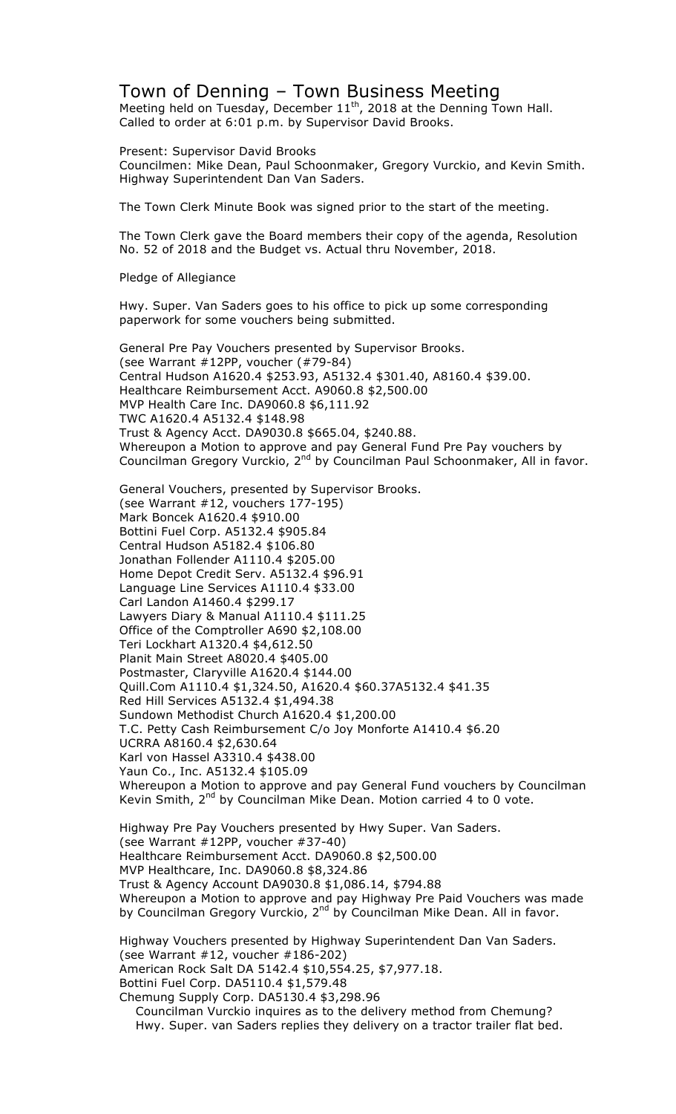## Town of Denning – Town Business Meeting

Meeting held on Tuesday, December  $11<sup>th</sup>$ , 2018 at the Denning Town Hall. Called to order at 6:01 p.m. by Supervisor David Brooks.

Present: Supervisor David Brooks

Councilmen: Mike Dean, Paul Schoonmaker, Gregory Vurckio, and Kevin Smith. Highway Superintendent Dan Van Saders.

The Town Clerk Minute Book was signed prior to the start of the meeting.

The Town Clerk gave the Board members their copy of the agenda, Resolution No. 52 of 2018 and the Budget vs. Actual thru November, 2018.

Pledge of Allegiance

Hwy. Super. Van Saders goes to his office to pick up some corresponding paperwork for some vouchers being submitted.

General Pre Pay Vouchers presented by Supervisor Brooks. (see Warrant #12PP, voucher (#79-84) Central Hudson A1620.4 \$253.93, A5132.4 \$301.40, A8160.4 \$39.00. Healthcare Reimbursement Acct. A9060.8 \$2,500.00 MVP Health Care Inc. DA9060.8 \$6,111.92 TWC A1620.4 A5132.4 \$148.98 Trust & Agency Acct. DA9030.8 \$665.04, \$240.88. Whereupon a Motion to approve and pay General Fund Pre Pay vouchers by Councilman Gregory Vurckio, 2<sup>nd</sup> by Councilman Paul Schoonmaker, All in favor.

General Vouchers, presented by Supervisor Brooks. (see Warrant #12, vouchers 177-195) Mark Boncek A1620.4 \$910.00 Bottini Fuel Corp. A5132.4 \$905.84 Central Hudson A5182.4 \$106.80 Jonathan Follender A1110.4 \$205.00 Home Depot Credit Serv. A5132.4 \$96.91 Language Line Services A1110.4 \$33.00 Carl Landon A1460.4 \$299.17 Lawyers Diary & Manual A1110.4 \$111.25 Office of the Comptroller A690 \$2,108.00 Teri Lockhart A1320.4 \$4,612.50 Planit Main Street A8020.4 \$405.00 Postmaster, Claryville A1620.4 \$144.00 Quill.Com A1110.4 \$1,324.50, A1620.4 \$60.37A5132.4 \$41.35 Red Hill Services A5132.4 \$1,494.38 Sundown Methodist Church A1620.4 \$1,200.00 T.C. Petty Cash Reimbursement C/o Joy Monforte A1410.4 \$6.20 UCRRA A8160.4 \$2,630.64 Karl von Hassel A3310.4 \$438.00 Yaun Co., Inc. A5132.4 \$105.09 Whereupon a Motion to approve and pay General Fund vouchers by Councilman Kevin Smith,  $2^{nd}$  by Councilman Mike Dean. Motion carried 4 to 0 vote.

Highway Pre Pay Vouchers presented by Hwy Super. Van Saders. (see Warrant #12PP, voucher #37-40) Healthcare Reimbursement Acct. DA9060.8 \$2,500.00 MVP Healthcare, Inc. DA9060.8 \$8,324.86 Trust & Agency Account DA9030.8 \$1,086.14, \$794.88 Whereupon a Motion to approve and pay Highway Pre Paid Vouchers was made by Councilman Gregory Vurckio, 2<sup>nd</sup> by Councilman Mike Dean. All in favor.

Highway Vouchers presented by Highway Superintendent Dan Van Saders. (see Warrant #12, voucher #186-202) American Rock Salt DA 5142.4 \$10,554.25, \$7,977.18. Bottini Fuel Corp. DA5110.4 \$1,579.48 Chemung Supply Corp. DA5130.4 \$3,298.96

 Councilman Vurckio inquires as to the delivery method from Chemung? Hwy. Super. van Saders replies they delivery on a tractor trailer flat bed.